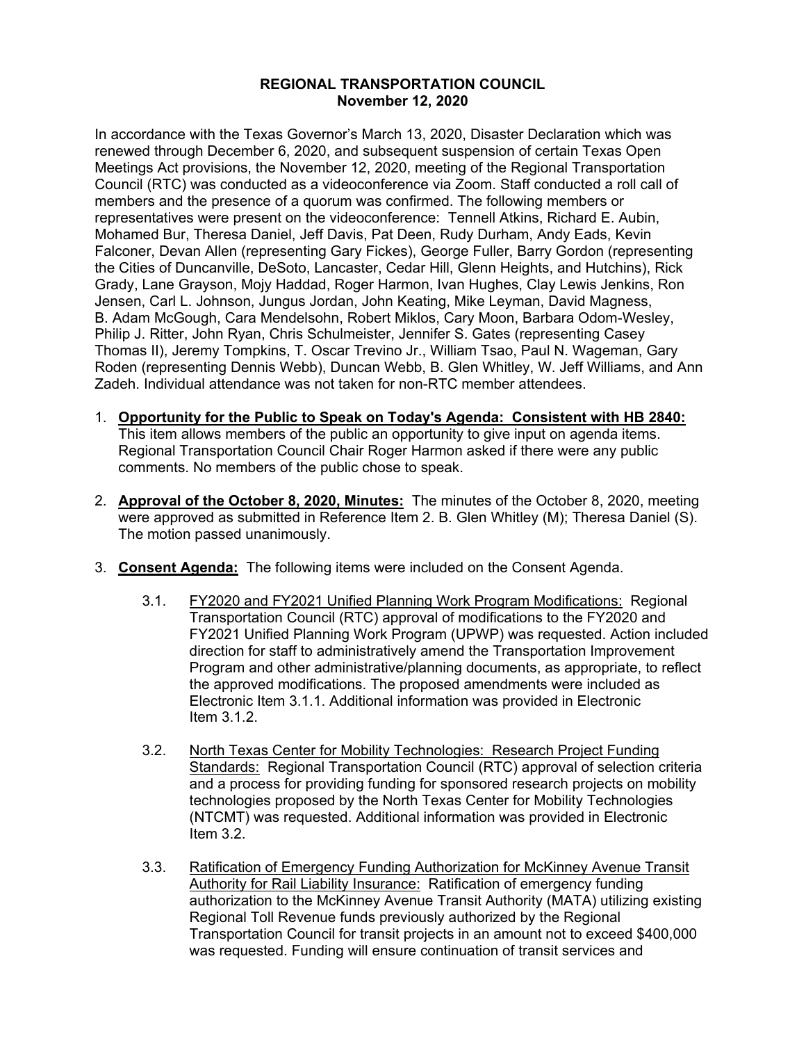## **REGIONAL TRANSPORTATION COUNCIL November 12, 2020**

In accordance with the Texas Governor's March 13, 2020, Disaster Declaration which was renewed through December 6, 2020, and subsequent suspension of certain Texas Open Meetings Act provisions, the November 12, 2020, meeting of the Regional Transportation Council (RTC) was conducted as a videoconference via Zoom. Staff conducted a roll call of members and the presence of a quorum was confirmed. The following members or representatives were present on the videoconference: Tennell Atkins, Richard E. Aubin, Mohamed Bur, Theresa Daniel, Jeff Davis, Pat Deen, Rudy Durham, Andy Eads, Kevin Falconer, Devan Allen (representing Gary Fickes), George Fuller, Barry Gordon (representing the Cities of Duncanville, DeSoto, Lancaster, Cedar Hill, Glenn Heights, and Hutchins), Rick Grady, Lane Grayson, Mojy Haddad, Roger Harmon, Ivan Hughes, Clay Lewis Jenkins, Ron Jensen, Carl L. Johnson, Jungus Jordan, John Keating, Mike Leyman, David Magness, B. Adam McGough, Cara Mendelsohn, Robert Miklos, Cary Moon, Barbara Odom-Wesley, Philip J. Ritter, John Ryan, Chris Schulmeister, Jennifer S. Gates (representing Casey Thomas II), Jeremy Tompkins, T. Oscar Trevino Jr., William Tsao, Paul N. Wageman, Gary Roden (representing Dennis Webb), Duncan Webb, B. Glen Whitley, W. Jeff Williams, and Ann Zadeh. Individual attendance was not taken for non-RTC member attendees.

- 1. **Opportunity for the Public to Speak on Today's Agenda: Consistent with HB 2840:** This item allows members of the public an opportunity to give input on agenda items. Regional Transportation Council Chair Roger Harmon asked if there were any public comments. No members of the public chose to speak.
- 2. **Approval of the October 8, 2020, Minutes:** The minutes of the October 8, 2020, meeting were approved as submitted in Reference Item 2. B. Glen Whitley (M); Theresa Daniel (S). The motion passed unanimously.
- 3. **Consent Agenda:** The following items were included on the Consent Agenda.
	- 3.1. FY2020 and FY2021 Unified Planning Work Program Modifications: Regional Transportation Council (RTC) approval of modifications to the FY2020 and FY2021 Unified Planning Work Program (UPWP) was requested. Action included direction for staff to administratively amend the Transportation Improvement Program and other administrative/planning documents, as appropriate, to reflect the approved modifications. The proposed amendments were included as Electronic Item 3.1.1. Additional information was provided in Electronic Item 3.1.2.
	- 3.2. North Texas Center for Mobility Technologies: Research Project Funding Standards: Regional Transportation Council (RTC) approval of selection criteria and a process for providing funding for sponsored research projects on mobility technologies proposed by the North Texas Center for Mobility Technologies (NTCMT) was requested. Additional information was provided in Electronic Item 3.2.
	- 3.3. Ratification of Emergency Funding Authorization for McKinney Avenue Transit Authority for Rail Liability Insurance: Ratification of emergency funding authorization to the McKinney Avenue Transit Authority (MATA) utilizing existing Regional Toll Revenue funds previously authorized by the Regional Transportation Council for transit projects in an amount not to exceed \$400,000 was requested. Funding will ensure continuation of transit services and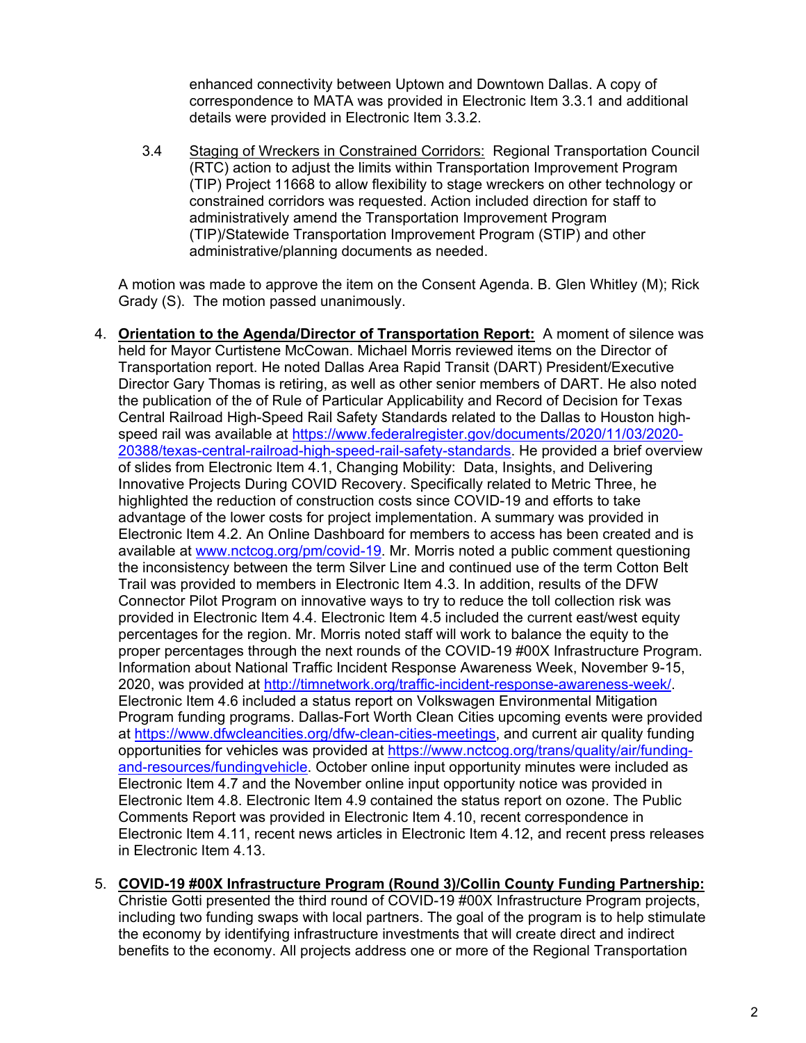enhanced connectivity between Uptown and Downtown Dallas. A copy of correspondence to MATA was provided in Electronic Item 3.3.1 and additional details were provided in Electronic Item 3.3.2.

3.4 Staging of Wreckers in Constrained Corridors: Regional Transportation Council (RTC) action to adjust the limits within Transportation Improvement Program (TIP) Project 11668 to allow flexibility to stage wreckers on other technology or constrained corridors was requested. Action included direction for staff to administratively amend the Transportation Improvement Program (TIP)/Statewide Transportation Improvement Program (STIP) and other administrative/planning documents as needed.

A motion was made to approve the item on the Consent Agenda. B. Glen Whitley (M); Rick Grady (S). The motion passed unanimously.

4. **Orientation to the Agenda/Director of Transportation Report:** A moment of silence was held for Mayor Curtistene McCowan. Michael Morris reviewed items on the Director of Transportation report. He noted Dallas Area Rapid Transit (DART) President/Executive Director Gary Thomas is retiring, as well as other senior members of DART. He also noted the publication of the of Rule of Particular Applicability and Record of Decision for Texas Central Railroad High-Speed Rail Safety Standards related to the Dallas to Houston highspeed rail was available at [https://www.federalregister.gov/documents/2020/11/03/2020-](https://www.federalregister.gov/documents/2020/11/03/2020-20388/texas-central-railroad-high-speed-rail-safety-standards) [20388/texas-central-railroad-high-speed-rail-safety-standards.](https://www.federalregister.gov/documents/2020/11/03/2020-20388/texas-central-railroad-high-speed-rail-safety-standards) He provided a brief overview of slides from Electronic Item 4.1, Changing Mobility: Data, Insights, and Delivering Innovative Projects During COVID Recovery. Specifically related to Metric Three, he highlighted the reduction of construction costs since COVID-19 and efforts to take advantage of the lower costs for project implementation. A summary was provided in Electronic Item 4.2. An Online Dashboard for members to access has been created and is available at [www.nctcog.org/pm/covid-19.](http://www.nctcog.org/pm/covid-19) Mr. Morris noted a public comment questioning the inconsistency between the term Silver Line and continued use of the term Cotton Belt Trail was provided to members in Electronic Item 4.3. In addition, results of the DFW Connector Pilot Program on innovative ways to try to reduce the toll collection risk was provided in Electronic Item 4.4. Electronic Item 4.5 included the current east/west equity percentages for the region. Mr. Morris noted staff will work to balance the equity to the proper percentages through the next rounds of the COVID-19 #00X Infrastructure Program. Information about National Traffic Incident Response Awareness Week, November 9-15, 2020, was provided at [http://timnetwork.org/traffic-incident-response-awareness-week/.](http://timnetwork.org/traffic-incident-response-awareness-week/) Electronic Item 4.6 included a status report on Volkswagen Environmental Mitigation Program funding programs. Dallas-Fort Worth Clean Cities upcoming events were provided at [https://www.dfwcleancities.org/dfw-clean-cities-meetings,](https://www.dfwcleancities.org/dfw-clean-cities-meetings) and current air quality funding opportunities for vehicles was provided at [https://www.nctcog.org/trans/quality/air/funding](https://www.nctcog.org/trans/quality/air/funding-and-resources/fundingvehicle)[and-resources/fundingvehicle.](https://www.nctcog.org/trans/quality/air/funding-and-resources/fundingvehicle) October online input opportunity minutes were included as Electronic Item 4.7 and the November online input opportunity notice was provided in Electronic Item 4.8. Electronic Item 4.9 contained the status report on ozone. The Public Comments Report was provided in Electronic Item 4.10, recent correspondence in Electronic Item 4.11, recent news articles in Electronic Item 4.12, and recent press releases in Electronic Item 4.13.

## 5. **COVID-19 #00X Infrastructure Program (Round 3)/Collin County Funding Partnership:**

Christie Gotti presented the third round of COVID-19 #00X Infrastructure Program projects, including two funding swaps with local partners. The goal of the program is to help stimulate the economy by identifying infrastructure investments that will create direct and indirect benefits to the economy. All projects address one or more of the Regional Transportation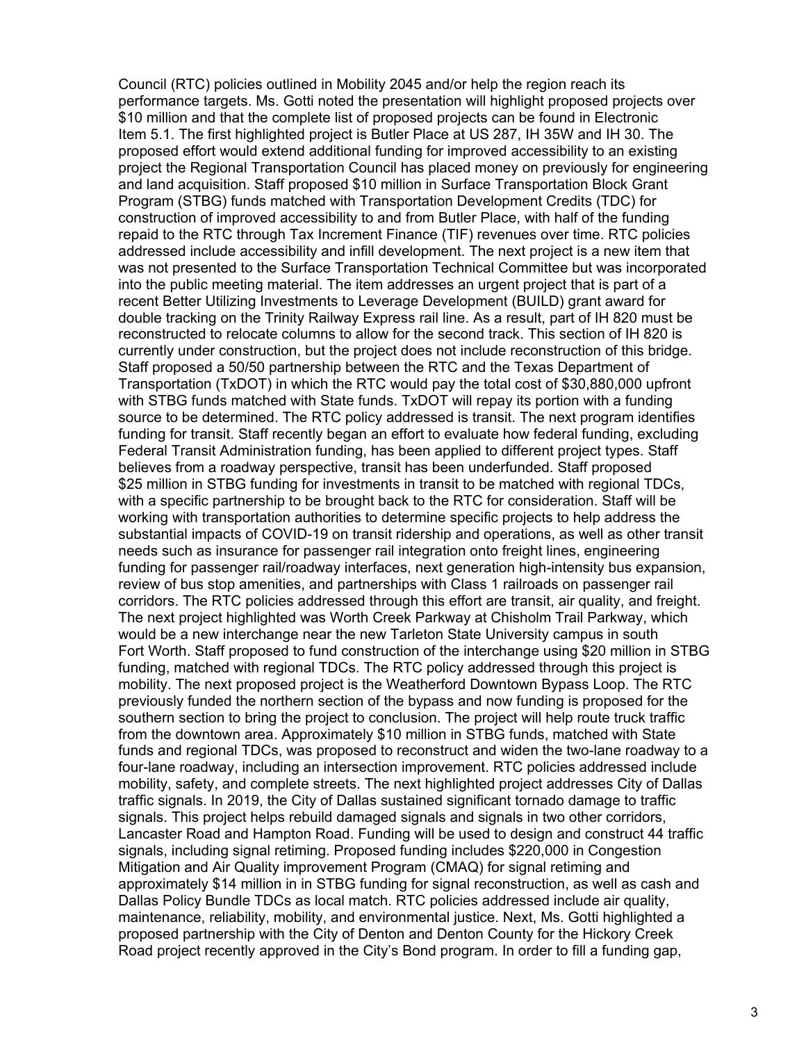Council (RTC) policies outlined in Mobility 2045 and/or help the region reach its performance targets. Ms. Gotti noted the presentation will highlight proposed projects over \$10 million and that the complete list of proposed projects can be found in Electronic Item 5.1. The first highlighted project is Butler Place at US 287, IH 35W and IH 30. The proposed effort would extend additional funding for improved accessibility to an existing project the Regional Transportation Council has placed money on previously for engineering and land acquisition. Staff proposed \$10 million in Surface Transportation Block Grant Program (STBG) funds matched with Transportation Development Credits (TDC) for construction of improved accessibility to and from Butler Place, with half of the funding repaid to the RTC through Tax Increment Finance (TIF) revenues over time. RTC policies addressed include accessibility and infill development. The next project is a new item that was not presented to the Surface Transportation Technical Committee but was incorporated into the public meeting material. The item addresses an urgent project that is part of a recent Better Utilizing Investments to Leverage Development (BUILD) grant award for double tracking on the Trinity Railway Express rail line. As a result, part of IH 820 must be reconstructed to relocate columns to allow for the second track. This section of IH 820 is currently under construction, but the project does not include reconstruction of this bridge. Staff proposed a 50/50 partnership between the RTC and the Texas Department of Transportation (TxDOT) in which the RTC would pay the total cost of \$30,880,000 upfront with STBG funds matched with State funds. TxDOT will repay its portion with a funding source to be determined. The RTC policy addressed is transit. The next program identifies funding for transit. Staff recently began an effort to evaluate how federal funding, excluding Federal Transit Administration funding, has been applied to different project types. Staff believes from a roadway perspective, transit has been underfunded. Staff proposed \$25 million in STBG funding for investments in transit to be matched with regional TDCs, with a specific partnership to be brought back to the RTC for consideration. Staff will be working with transportation authorities to determine specific projects to help address the substantial impacts of COVID-19 on transit ridership and operations, as well as other transit needs such as insurance for passenger rail integration onto freight lines, engineering funding for passenger rail/roadway interfaces, next generation high-intensity bus expansion, review of bus stop amenities, and partnerships with Class 1 railroads on passenger rail corridors. The RTC policies addressed through this effort are transit, air quality, and freight. The next project highlighted was Worth Creek Parkway at Chisholm Trail Parkway, which would be a new interchange near the new Tarleton State University campus in south Fort Worth. Staff proposed to fund construction of the interchange using \$20 million in STBG funding, matched with regional TDCs. The RTC policy addressed through this project is mobility. The next proposed project is the Weatherford Downtown Bypass Loop. The RTC previously funded the northern section of the bypass and now funding is proposed for the southern section to bring the project to conclusion. The project will help route truck traffic from the downtown area. Approximately \$10 million in STBG funds, matched with State funds and regional TDCs, was proposed to reconstruct and widen the two-lane roadway to a four-lane roadway, including an intersection improvement. RTC policies addressed include mobility, safety, and complete streets. The next highlighted project addresses City of Dallas traffic signals. In 2019, the City of Dallas sustained significant tornado damage to traffic signals. This project helps rebuild damaged signals and signals in two other corridors, Lancaster Road and Hampton Road. Funding will be used to design and construct 44 traffic signals, including signal retiming. Proposed funding includes \$220,000 in Congestion Mitigation and Air Quality improvement Program (CMAQ) for signal retiming and approximately \$14 million in in STBG funding for signal reconstruction, as well as cash and Dallas Policy Bundle TDCs as local match. RTC policies addressed include air quality, maintenance, reliability, mobility, and environmental justice. Next, Ms. Gotti highlighted a proposed partnership with the City of Denton and Denton County for the Hickory Creek Road project recently approved in the City's Bond program. In order to fill a funding gap,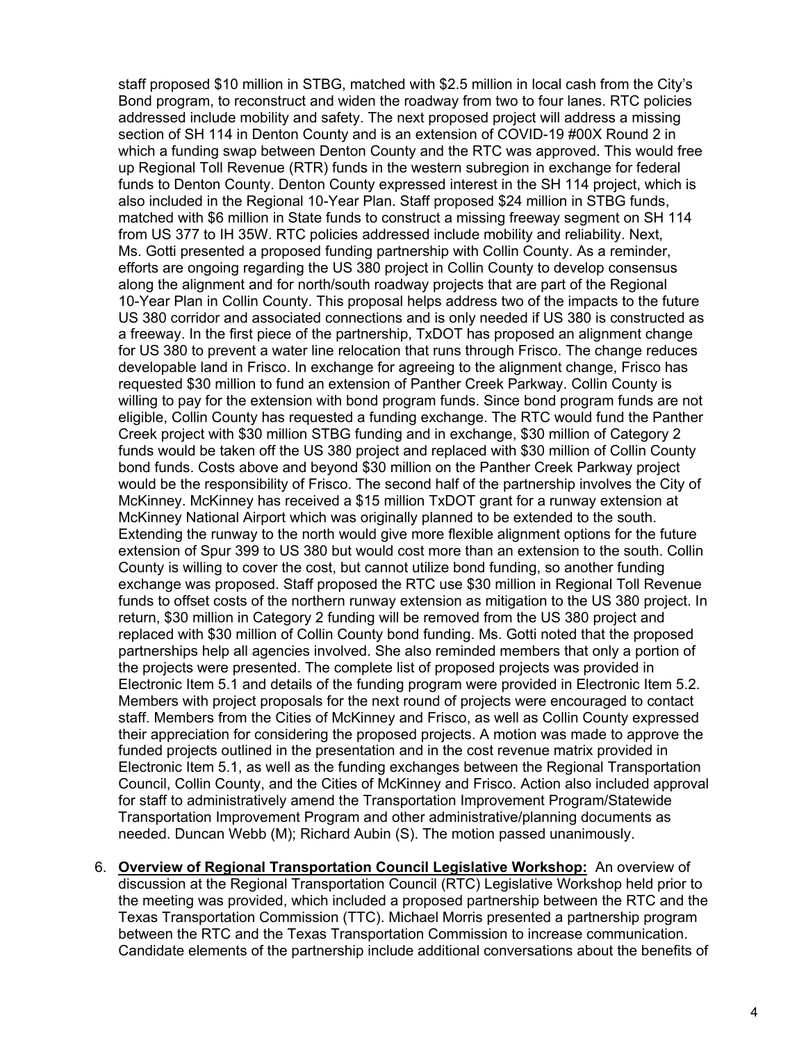staff proposed \$10 million in STBG, matched with \$2.5 million in local cash from the City's Bond program, to reconstruct and widen the roadway from two to four lanes. RTC policies addressed include mobility and safety. The next proposed project will address a missing section of SH 114 in Denton County and is an extension of COVID-19 #00X Round 2 in which a funding swap between Denton County and the RTC was approved. This would free up Regional Toll Revenue (RTR) funds in the western subregion in exchange for federal funds to Denton County. Denton County expressed interest in the SH 114 project, which is also included in the Regional 10-Year Plan. Staff proposed \$24 million in STBG funds, matched with \$6 million in State funds to construct a missing freeway segment on SH 114 from US 377 to IH 35W. RTC policies addressed include mobility and reliability. Next, Ms. Gotti presented a proposed funding partnership with Collin County. As a reminder, efforts are ongoing regarding the US 380 project in Collin County to develop consensus along the alignment and for north/south roadway projects that are part of the Regional 10-Year Plan in Collin County. This proposal helps address two of the impacts to the future US 380 corridor and associated connections and is only needed if US 380 is constructed as a freeway. In the first piece of the partnership, TxDOT has proposed an alignment change for US 380 to prevent a water line relocation that runs through Frisco. The change reduces developable land in Frisco. In exchange for agreeing to the alignment change, Frisco has requested \$30 million to fund an extension of Panther Creek Parkway. Collin County is willing to pay for the extension with bond program funds. Since bond program funds are not eligible, Collin County has requested a funding exchange. The RTC would fund the Panther Creek project with \$30 million STBG funding and in exchange, \$30 million of Category 2 funds would be taken off the US 380 project and replaced with \$30 million of Collin County bond funds. Costs above and beyond \$30 million on the Panther Creek Parkway project would be the responsibility of Frisco. The second half of the partnership involves the City of McKinney. McKinney has received a \$15 million TxDOT grant for a runway extension at McKinney National Airport which was originally planned to be extended to the south. Extending the runway to the north would give more flexible alignment options for the future extension of Spur 399 to US 380 but would cost more than an extension to the south. Collin County is willing to cover the cost, but cannot utilize bond funding, so another funding exchange was proposed. Staff proposed the RTC use \$30 million in Regional Toll Revenue funds to offset costs of the northern runway extension as mitigation to the US 380 project. In return, \$30 million in Category 2 funding will be removed from the US 380 project and replaced with \$30 million of Collin County bond funding. Ms. Gotti noted that the proposed partnerships help all agencies involved. She also reminded members that only a portion of the projects were presented. The complete list of proposed projects was provided in Electronic Item 5.1 and details of the funding program were provided in Electronic Item 5.2. Members with project proposals for the next round of projects were encouraged to contact staff. Members from the Cities of McKinney and Frisco, as well as Collin County expressed their appreciation for considering the proposed projects. A motion was made to approve the funded projects outlined in the presentation and in the cost revenue matrix provided in Electronic Item 5.1, as well as the funding exchanges between the Regional Transportation Council, Collin County, and the Cities of McKinney and Frisco. Action also included approval for staff to administratively amend the Transportation Improvement Program/Statewide Transportation Improvement Program and other administrative/planning documents as needed. Duncan Webb (M); Richard Aubin (S). The motion passed unanimously.

6. **Overview of Regional Transportation Council Legislative Workshop:** An overview of discussion at the Regional Transportation Council (RTC) Legislative Workshop held prior to the meeting was provided, which included a proposed partnership between the RTC and the Texas Transportation Commission (TTC). Michael Morris presented a partnership program between the RTC and the Texas Transportation Commission to increase communication. Candidate elements of the partnership include additional conversations about the benefits of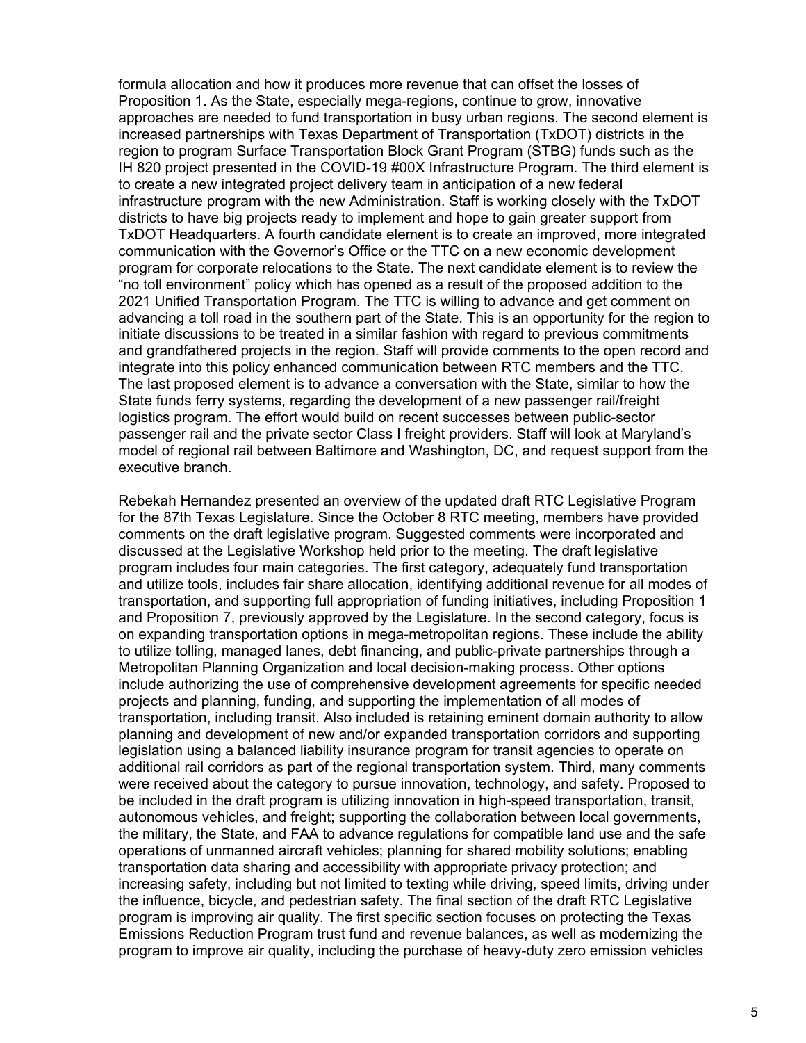formula allocation and how it produces more revenue that can offset the losses of Proposition 1. As the State, especially mega-regions, continue to grow, innovative approaches are needed to fund transportation in busy urban regions. The second element is increased partnerships with Texas Department of Transportation (TxDOT) districts in the region to program Surface Transportation Block Grant Program (STBG) funds such as the IH 820 project presented in the COVID-19 #00X Infrastructure Program. The third element is to create a new integrated project delivery team in anticipation of a new federal infrastructure program with the new Administration. Staff is working closely with the TxDOT districts to have big projects ready to implement and hope to gain greater support from TxDOT Headquarters. A fourth candidate element is to create an improved, more integrated communication with the Governor's Office or the TTC on a new economic development program for corporate relocations to the State. The next candidate element is to review the "no toll environment" policy which has opened as a result of the proposed addition to the 2021 Unified Transportation Program. The TTC is willing to advance and get comment on advancing a toll road in the southern part of the State. This is an opportunity for the region to initiate discussions to be treated in a similar fashion with regard to previous commitments and grandfathered projects in the region. Staff will provide comments to the open record and integrate into this policy enhanced communication between RTC members and the TTC. The last proposed element is to advance a conversation with the State, similar to how the State funds ferry systems, regarding the development of a new passenger rail/freight logistics program. The effort would build on recent successes between public-sector passenger rail and the private sector Class I freight providers. Staff will look at Maryland's model of regional rail between Baltimore and Washington, DC, and request support from the executive branch.

Rebekah Hernandez presented an overview of the updated draft RTC Legislative Program for the 87th Texas Legislature. Since the October 8 RTC meeting, members have provided comments on the draft legislative program. Suggested comments were incorporated and discussed at the Legislative Workshop held prior to the meeting. The draft legislative program includes four main categories. The first category, adequately fund transportation and utilize tools, includes fair share allocation, identifying additional revenue for all modes of transportation, and supporting full appropriation of funding initiatives, including Proposition 1 and Proposition 7, previously approved by the Legislature. In the second category, focus is on expanding transportation options in mega-metropolitan regions. These include the ability to utilize tolling, managed lanes, debt financing, and public-private partnerships through a Metropolitan Planning Organization and local decision-making process. Other options include authorizing the use of comprehensive development agreements for specific needed projects and planning, funding, and supporting the implementation of all modes of transportation, including transit. Also included is retaining eminent domain authority to allow planning and development of new and/or expanded transportation corridors and supporting legislation using a balanced liability insurance program for transit agencies to operate on additional rail corridors as part of the regional transportation system. Third, many comments were received about the category to pursue innovation, technology, and safety. Proposed to be included in the draft program is utilizing innovation in high-speed transportation, transit, autonomous vehicles, and freight; supporting the collaboration between local governments, the military, the State, and FAA to advance regulations for compatible land use and the safe operations of unmanned aircraft vehicles; planning for shared mobility solutions; enabling transportation data sharing and accessibility with appropriate privacy protection; and increasing safety, including but not limited to texting while driving, speed limits, driving under the influence, bicycle, and pedestrian safety. The final section of the draft RTC Legislative program is improving air quality. The first specific section focuses on protecting the Texas Emissions Reduction Program trust fund and revenue balances, as well as modernizing the program to improve air quality, including the purchase of heavy-duty zero emission vehicles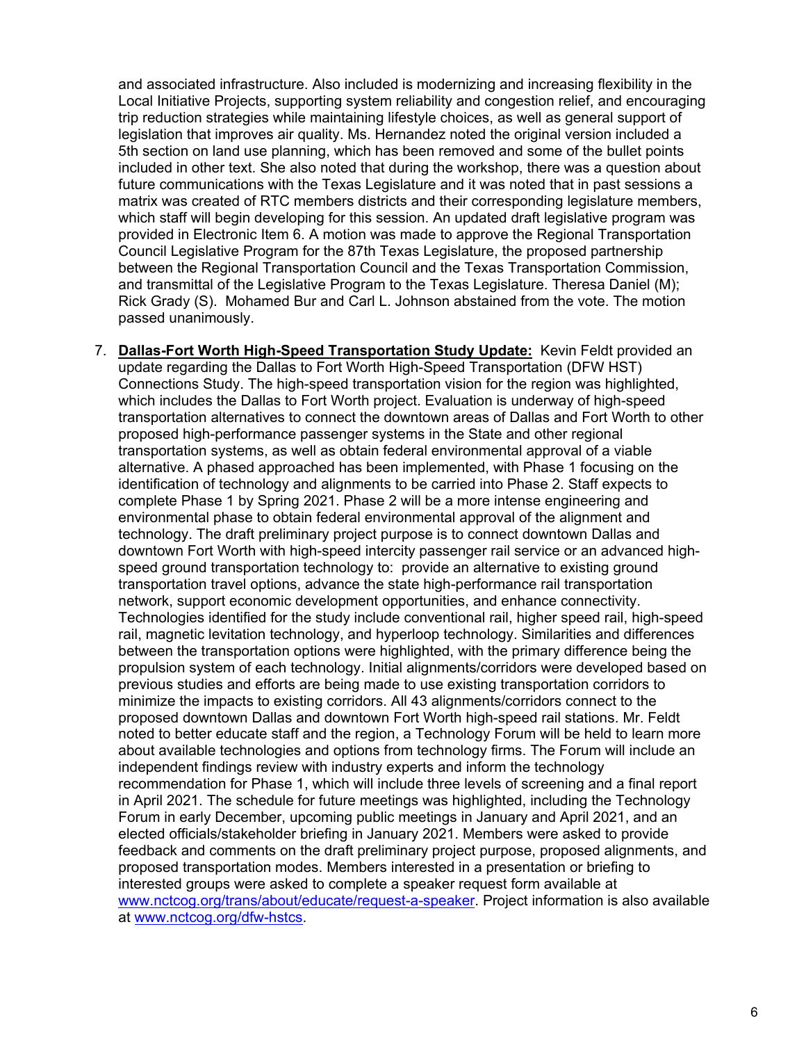and associated infrastructure. Also included is modernizing and increasing flexibility in the Local Initiative Projects, supporting system reliability and congestion relief, and encouraging trip reduction strategies while maintaining lifestyle choices, as well as general support of legislation that improves air quality. Ms. Hernandez noted the original version included a 5th section on land use planning, which has been removed and some of the bullet points included in other text. She also noted that during the workshop, there was a question about future communications with the Texas Legislature and it was noted that in past sessions a matrix was created of RTC members districts and their corresponding legislature members, which staff will begin developing for this session. An updated draft legislative program was provided in Electronic Item 6. A motion was made to approve the Regional Transportation Council Legislative Program for the 87th Texas Legislature, the proposed partnership between the Regional Transportation Council and the Texas Transportation Commission, and transmittal of the Legislative Program to the Texas Legislature. Theresa Daniel (M); Rick Grady (S). Mohamed Bur and Carl L. Johnson abstained from the vote. The motion passed unanimously.

7. **Dallas-Fort Worth High-Speed Transportation Study Update:** Kevin Feldt provided an update regarding the Dallas to Fort Worth High-Speed Transportation (DFW HST) Connections Study. The high-speed transportation vision for the region was highlighted, which includes the Dallas to Fort Worth project. Evaluation is underway of high-speed transportation alternatives to connect the downtown areas of Dallas and Fort Worth to other proposed high-performance passenger systems in the State and other regional transportation systems, as well as obtain federal environmental approval of a viable alternative. A phased approached has been implemented, with Phase 1 focusing on the identification of technology and alignments to be carried into Phase 2. Staff expects to complete Phase 1 by Spring 2021. Phase 2 will be a more intense engineering and environmental phase to obtain federal environmental approval of the alignment and technology. The draft preliminary project purpose is to connect downtown Dallas and downtown Fort Worth with high-speed intercity passenger rail service or an advanced highspeed ground transportation technology to: provide an alternative to existing ground transportation travel options, advance the state high-performance rail transportation network, support economic development opportunities, and enhance connectivity. Technologies identified for the study include conventional rail, higher speed rail, high-speed rail, magnetic levitation technology, and hyperloop technology. Similarities and differences between the transportation options were highlighted, with the primary difference being the propulsion system of each technology. Initial alignments/corridors were developed based on previous studies and efforts are being made to use existing transportation corridors to minimize the impacts to existing corridors. All 43 alignments/corridors connect to the proposed downtown Dallas and downtown Fort Worth high-speed rail stations. Mr. Feldt noted to better educate staff and the region, a Technology Forum will be held to learn more about available technologies and options from technology firms. The Forum will include an independent findings review with industry experts and inform the technology recommendation for Phase 1, which will include three levels of screening and a final report in April 2021. The schedule for future meetings was highlighted, including the Technology Forum in early December, upcoming public meetings in January and April 2021, and an elected officials/stakeholder briefing in January 2021. Members were asked to provide feedback and comments on the draft preliminary project purpose, proposed alignments, and proposed transportation modes. Members interested in a presentation or briefing to interested groups were asked to complete a speaker request form available at [www.nctcog.org/trans/about/educate/request-a-speaker.](http://www.nctcog.org/trans/about/educate/request-a-speaker) Project information is also available at [www.nctcog.org/dfw-hstcs.](http://www.nctcog.org/dfw-hstcs)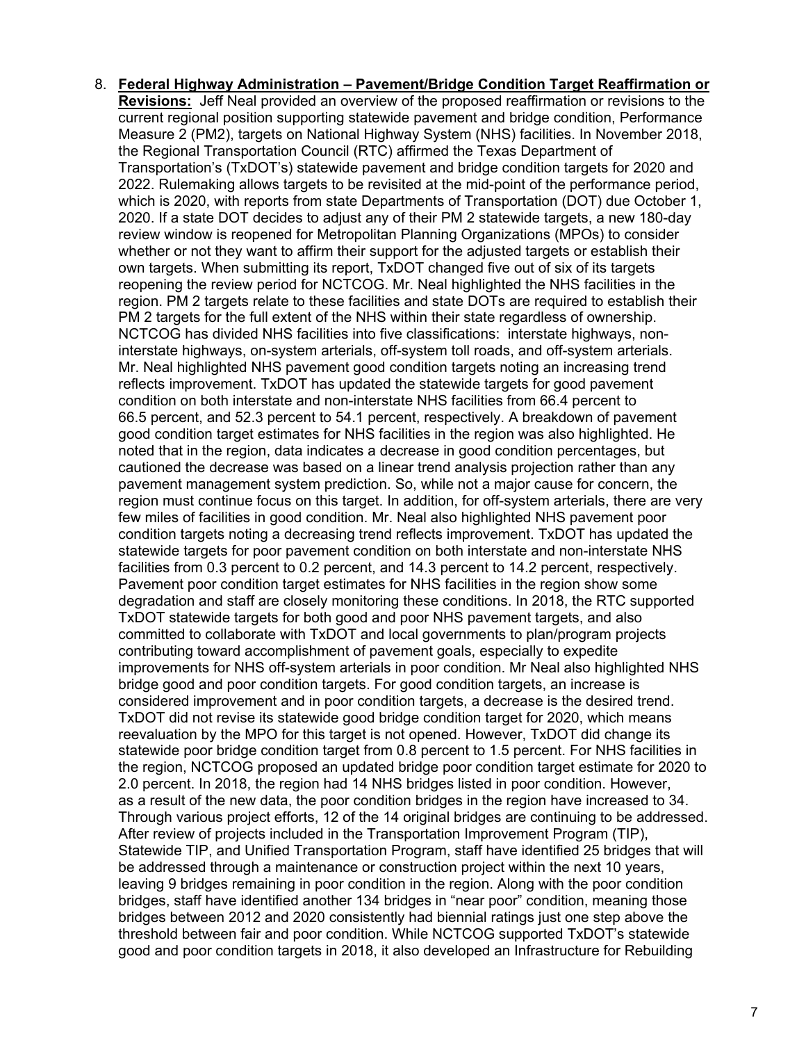8. **Federal Highway Administration – Pavement/Bridge Condition Target Reaffirmation or Revisions:** Jeff Neal provided an overview of the proposed reaffirmation or revisions to the current regional position supporting statewide pavement and bridge condition, Performance Measure 2 (PM2), targets on National Highway System (NHS) facilities. In November 2018, the Regional Transportation Council (RTC) affirmed the Texas Department of Transportation's (TxDOT's) statewide pavement and bridge condition targets for 2020 and 2022. Rulemaking allows targets to be revisited at the mid-point of the performance period, which is 2020, with reports from state Departments of Transportation (DOT) due October 1, 2020. If a state DOT decides to adjust any of their PM 2 statewide targets, a new 180-day review window is reopened for Metropolitan Planning Organizations (MPOs) to consider whether or not they want to affirm their support for the adjusted targets or establish their own targets. When submitting its report, TxDOT changed five out of six of its targets reopening the review period for NCTCOG. Mr. Neal highlighted the NHS facilities in the region. PM 2 targets relate to these facilities and state DOTs are required to establish their PM 2 targets for the full extent of the NHS within their state regardless of ownership. NCTCOG has divided NHS facilities into five classifications: interstate highways, noninterstate highways, on-system arterials, off-system toll roads, and off-system arterials. Mr. Neal highlighted NHS pavement good condition targets noting an increasing trend reflects improvement. TxDOT has updated the statewide targets for good pavement condition on both interstate and non-interstate NHS facilities from 66.4 percent to 66.5 percent, and 52.3 percent to 54.1 percent, respectively. A breakdown of pavement good condition target estimates for NHS facilities in the region was also highlighted. He noted that in the region, data indicates a decrease in good condition percentages, but cautioned the decrease was based on a linear trend analysis projection rather than any pavement management system prediction. So, while not a major cause for concern, the region must continue focus on this target. In addition, for off-system arterials, there are very few miles of facilities in good condition. Mr. Neal also highlighted NHS pavement poor condition targets noting a decreasing trend reflects improvement. TxDOT has updated the statewide targets for poor pavement condition on both interstate and non-interstate NHS facilities from 0.3 percent to 0.2 percent, and 14.3 percent to 14.2 percent, respectively. Pavement poor condition target estimates for NHS facilities in the region show some degradation and staff are closely monitoring these conditions. In 2018, the RTC supported TxDOT statewide targets for both good and poor NHS pavement targets, and also committed to collaborate with TxDOT and local governments to plan/program projects contributing toward accomplishment of pavement goals, especially to expedite improvements for NHS off-system arterials in poor condition. Mr Neal also highlighted NHS bridge good and poor condition targets. For good condition targets, an increase is considered improvement and in poor condition targets, a decrease is the desired trend. TxDOT did not revise its statewide good bridge condition target for 2020, which means reevaluation by the MPO for this target is not opened. However, TxDOT did change its statewide poor bridge condition target from 0.8 percent to 1.5 percent. For NHS facilities in the region, NCTCOG proposed an updated bridge poor condition target estimate for 2020 to 2.0 percent. In 2018, the region had 14 NHS bridges listed in poor condition. However, as a result of the new data, the poor condition bridges in the region have increased to 34. Through various project efforts, 12 of the 14 original bridges are continuing to be addressed. After review of projects included in the Transportation Improvement Program (TIP), Statewide TIP, and Unified Transportation Program, staff have identified 25 bridges that will be addressed through a maintenance or construction project within the next 10 years, leaving 9 bridges remaining in poor condition in the region. Along with the poor condition bridges, staff have identified another 134 bridges in "near poor" condition, meaning those bridges between 2012 and 2020 consistently had biennial ratings just one step above the threshold between fair and poor condition. While NCTCOG supported TxDOT's statewide good and poor condition targets in 2018, it also developed an Infrastructure for Rebuilding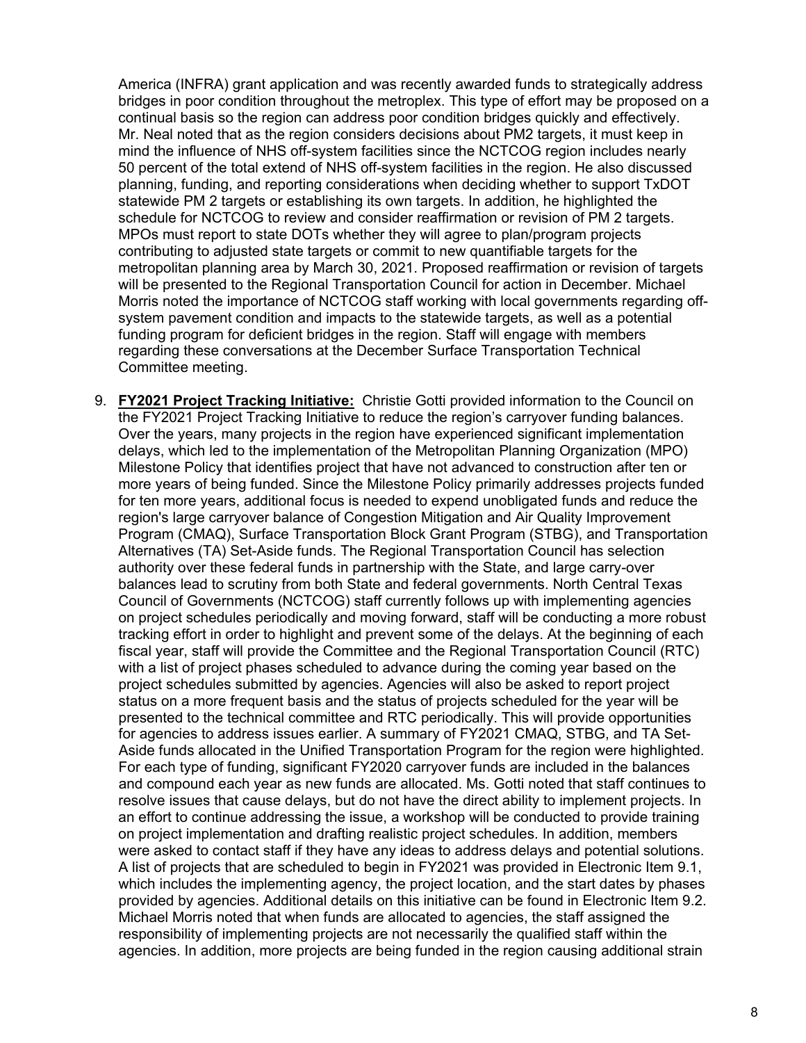America (INFRA) grant application and was recently awarded funds to strategically address bridges in poor condition throughout the metroplex. This type of effort may be proposed on a continual basis so the region can address poor condition bridges quickly and effectively. Mr. Neal noted that as the region considers decisions about PM2 targets, it must keep in mind the influence of NHS off-system facilities since the NCTCOG region includes nearly 50 percent of the total extend of NHS off-system facilities in the region. He also discussed planning, funding, and reporting considerations when deciding whether to support TxDOT statewide PM 2 targets or establishing its own targets. In addition, he highlighted the schedule for NCTCOG to review and consider reaffirmation or revision of PM 2 targets. MPOs must report to state DOTs whether they will agree to plan/program projects contributing to adjusted state targets or commit to new quantifiable targets for the metropolitan planning area by March 30, 2021. Proposed reaffirmation or revision of targets will be presented to the Regional Transportation Council for action in December. Michael Morris noted the importance of NCTCOG staff working with local governments regarding offsystem pavement condition and impacts to the statewide targets, as well as a potential funding program for deficient bridges in the region. Staff will engage with members regarding these conversations at the December Surface Transportation Technical Committee meeting.

9. **FY2021 Project Tracking Initiative:** Christie Gotti provided information to the Council on the FY2021 Project Tracking Initiative to reduce the region's carryover funding balances. Over the years, many projects in the region have experienced significant implementation delays, which led to the implementation of the Metropolitan Planning Organization (MPO) Milestone Policy that identifies project that have not advanced to construction after ten or more years of being funded. Since the Milestone Policy primarily addresses projects funded for ten more years, additional focus is needed to expend unobligated funds and reduce the region's large carryover balance of Congestion Mitigation and Air Quality Improvement Program (CMAQ), Surface Transportation Block Grant Program (STBG), and Transportation Alternatives (TA) Set-Aside funds. The Regional Transportation Council has selection authority over these federal funds in partnership with the State, and large carry-over balances lead to scrutiny from both State and federal governments. North Central Texas Council of Governments (NCTCOG) staff currently follows up with implementing agencies on project schedules periodically and moving forward, staff will be conducting a more robust tracking effort in order to highlight and prevent some of the delays. At the beginning of each fiscal year, staff will provide the Committee and the Regional Transportation Council (RTC) with a list of project phases scheduled to advance during the coming year based on the project schedules submitted by agencies. Agencies will also be asked to report project status on a more frequent basis and the status of projects scheduled for the year will be presented to the technical committee and RTC periodically. This will provide opportunities for agencies to address issues earlier. A summary of FY2021 CMAQ, STBG, and TA Set-Aside funds allocated in the Unified Transportation Program for the region were highlighted. For each type of funding, significant FY2020 carryover funds are included in the balances and compound each year as new funds are allocated. Ms. Gotti noted that staff continues to resolve issues that cause delays, but do not have the direct ability to implement projects. In an effort to continue addressing the issue, a workshop will be conducted to provide training on project implementation and drafting realistic project schedules. In addition, members were asked to contact staff if they have any ideas to address delays and potential solutions. A list of projects that are scheduled to begin in FY2021 was provided in Electronic Item 9.1, which includes the implementing agency, the project location, and the start dates by phases provided by agencies. Additional details on this initiative can be found in Electronic Item 9.2. Michael Morris noted that when funds are allocated to agencies, the staff assigned the responsibility of implementing projects are not necessarily the qualified staff within the agencies. In addition, more projects are being funded in the region causing additional strain